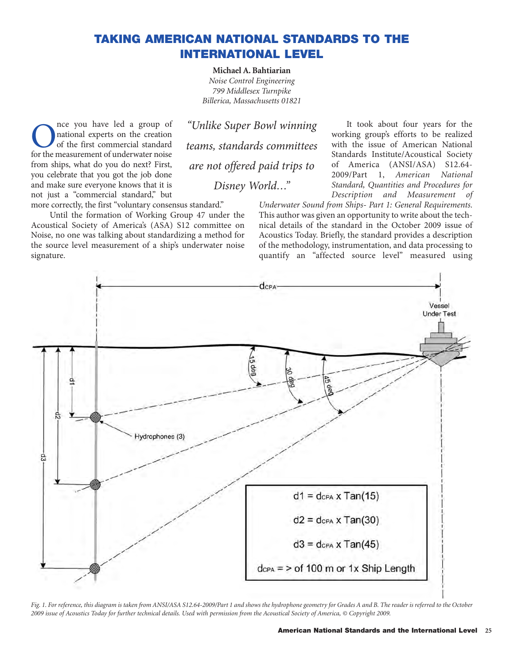## **TAKING AMERICAN NATIONAL STANDARDS TO THE INTERNATIONAL LEVEL**

**Michael A. Bahtiarian**

*Noise Control Engineering 799 Middlesex Turnpike Billerica, Massachusetts 01821*

The you have led a group of<br>
of the first commercial standard<br>
for the measurement of underwater noise national experts on the creation of the first commercial standard for the measurement of underwater noise from ships, what do you do next? First, you celebrate that you got the job done and make sure everyone knows that it is not just a "commercial standard," but *"Unlike Super Bowl winning teams, standards committees are not offered paid trips to Disney World…"*

It took about four years for the working group's efforts to be realized with the issue of American National Standards Institute/Acoustical Society of America (ANSI/ASA) S12.64- 2009/Part 1, *American National Standard, Quantities and Procedures for Description and Measurement of*

more correctly, the first "voluntary consensus standard."

Until the formation of Working Group 47 under the Acoustical Society of America's (ASA) S12 committee on Noise, no one was talking about standardizing a method for the source level measurement of a ship's underwater noise signature.

*Underwater Sound from Ships- Part 1: General Requirements*. This author was given an opportunity to write about the technical details of the standard in the October 2009 issue of Acoustics Today. Briefly, the standard provides a description of the methodology, instrumentation, and data processing to quantify an "affected source level" measured using



*Fig. 1. For reference, this diagram is taken from ANSI/ASA S12.64-2009/Part 1 and shows the hydrophone geometry for Grades A and B. The reader is referred to the October 2009 issue of Acoustics Today for further technical details. Used with permission from the Acoustical Society of America, © Copyright 2009.*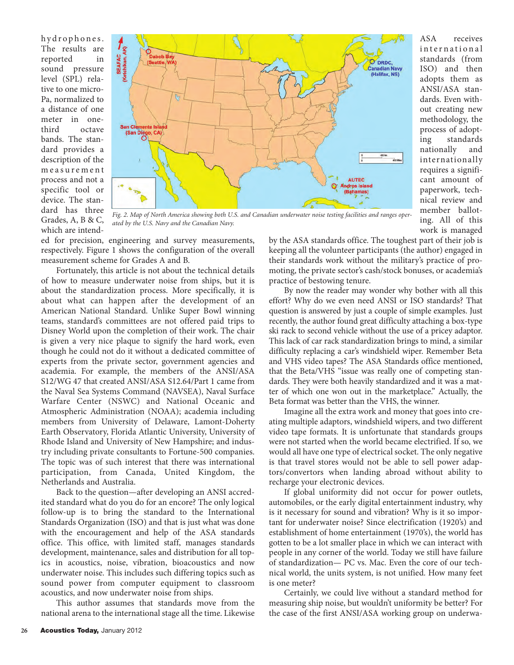hydrophones. The results are reported in sound pressure level (SPL) relative to one micro-Pa, normalized to a distance of one meter in onethird octave bands. The standard provides a description of the m e a s u r e m e n t process and not a specific tool or device. The standard has three Grades, A, B & C, which are intend-



*Fig. 2. Map of North America showing both U.S. and Canadian underwater noise testing facilities and ranges operated by the U.S. Navy and the Canadian Navy.*

ed for precision, engineering and survey measurements, respectively. Figure 1 shows the configuration of the overall measurement scheme for Grades A and B.

Fortunately, this article is not about the technical details of how to measure underwater noise from ships, but it is about the standardization process. More specifically, it is about what can happen after the development of an American National Standard. Unlike Super Bowl winning teams, standard's committees are not offered paid trips to Disney World upon the completion of their work. The chair is given a very nice plaque to signify the hard work, even though he could not do it without a dedicated committee of experts from the private sector, government agencies and academia. For example, the members of the ANSI/ASA S12/WG 47 that created ANSI/ASA S12.64/Part 1 came from the Naval Sea Systems Command (NAVSEA), Naval Surface Warfare Center (NSWC) and National Oceanic and Atmospheric Administration (NOAA); academia including members from University of Delaware, Lamont-Doherty Earth Observatory, Florida Atlantic University, University of Rhode Island and University of New Hampshire; and industry including private consultants to Fortune-500 companies. The topic was of such interest that there was international participation, from Canada, United Kingdom, the Netherlands and Australia.

Back to the question—after developing an ANSI accredited standard what do you do for an encore? The only logical follow-up is to bring the standard to the International Standards Organization (ISO) and that is just what was done with the encouragement and help of the ASA standards office. This office, with limited staff, manages standards development, maintenance, sales and distribution for all topics in acoustics, noise, vibration, bioacoustics and now underwater noise. This includes such differing topics such as sound power from computer equipment to classroom acoustics, and now underwater noise from ships.

This author assumes that standards move from the national arena to the international stage all the time. Likewise by the ASA standards office. The toughest part of their job is keeping all the volunteer participants (the author) engaged in their standards work without the military's practice of promoting, the private sector's cash/stock bonuses, or academia's practice of bestowing tenure.

By now the reader may wonder why bother with all this effort? Why do we even need ANSI or ISO standards? That question is answered by just a couple of simple examples. Just recently, the author found great difficulty attaching a box-type ski rack to second vehicle without the use of a pricey adaptor. This lack of car rack standardization brings to mind, a similar difficulty replacing a car's windshield wiper. Remember Beta and VHS video tapes? The ASA Standards office mentioned, that the Beta/VHS "issue was really one of competing standards. They were both heavily standardized and it was a matter of which one won out in the marketplace." Actually, the Beta format was better than the VHS, the winner.

Imagine all the extra work and money that goes into creating multiple adaptors, windshield wipers, and two different video tape formats. It is unfortunate that standards groups were not started when the world became electrified. If so, we would all have one type of electrical socket. The only negative is that travel stores would not be able to sell power adaptors/convertors when landing abroad without ability to recharge your electronic devices.

If global uniformity did not occur for power outlets, automobiles, or the early digital entertainment industry, why is it necessary for sound and vibration? Why is it so important for underwater noise? Since electrification (1920's) and establishment of home entertainment (1970's), the world has gotten to be a lot smaller place in which we can interact with people in any corner of the world. Today we still have failure of standardization— PC vs. Mac. Even the core of our technical world, the units system, is not unified. How many feet is one meter?

Certainly, we could live without a standard method for measuring ship noise, but wouldn't uniformity be better? For the case of the first ANSI/ASA working group on underwa-

ASA receives international standards (from ISO) and then adopts them as ANSI/ASA standards. Even without creating new methodology, the process of adopting standards nationally and internationally requires a significant amount of paperwork, technical review and member balloting. All of this work is managed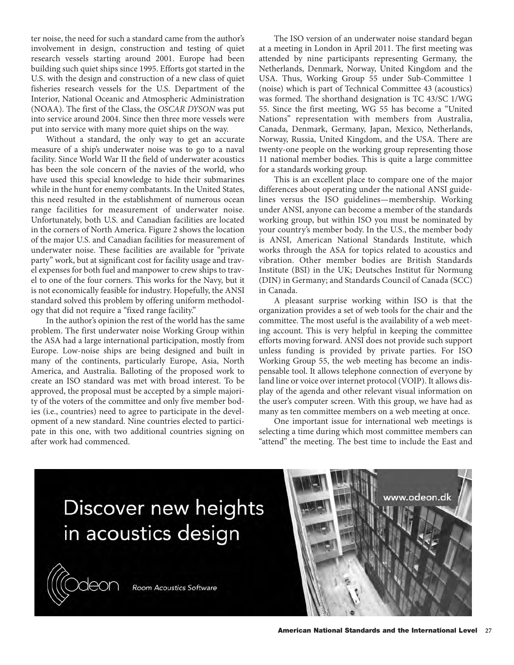ter noise, the need for such a standard came from the author's involvement in design, construction and testing of quiet research vessels starting around 2001. Europe had been building such quiet ships since 1995. Efforts got started in the U.S. with the design and construction of a new class of quiet fisheries research vessels for the U.S. Department of the Interior, National Oceanic and Atmospheric Administration (NOAA). The first of the Class, the *OSCAR DYSON* was put into service around 2004. Since then three more vessels were put into service with many more quiet ships on the way.

Without a standard, the only way to get an accurate measure of a ship's underwater noise was to go to a naval facility. Since World War II the field of underwater acoustics has been the sole concern of the navies of the world, who have used this special knowledge to hide their submarines while in the hunt for enemy combatants. In the United States, this need resulted in the establishment of numerous ocean range facilities for measurement of underwater noise. Unfortunately, both U.S. and Canadian facilities are located in the corners of North America. Figure 2 shows the location of the major U.S. and Canadian facilities for measurement of underwater noise. These facilities are available for "private party" work, but at significant cost for facility usage and travel expenses for both fuel and manpower to crew ships to travel to one of the four corners. This works for the Navy, but it is not economically feasible for industry. Hopefully, the ANSI standard solved this problem by offering uniform methodology that did not require a "fixed range facility."

In the author's opinion the rest of the world has the same problem. The first underwater noise Working Group within the ASA had a large international participation, mostly from Europe. Low-noise ships are being designed and built in many of the continents, particularly Europe, Asia, North America, and Australia. Balloting of the proposed work to create an ISO standard was met with broad interest. To be approved, the proposal must be accepted by a simple majority of the voters of the committee and only five member bodies (i.e., countries) need to agree to participate in the development of a new standard. Nine countries elected to participate in this one, with two additional countries signing on after work had commenced.

The ISO version of an underwater noise standard began at a meeting in London in April 2011. The first meeting was attended by nine participants representing Germany, the Netherlands, Denmark, Norway, United Kingdom and the USA. Thus, Working Group 55 under Sub-Committee 1 (noise) which is part of Technical Committee 43 (acoustics) was formed. The shorthand designation is TC 43/SC 1/WG 55. Since the first meeting, WG 55 has become a "United Nations" representation with members from Australia, Canada, Denmark, Germany, Japan, Mexico, Netherlands, Norway, Russia, United Kingdom, and the USA. There are twenty-one people on the working group representing those 11 national member bodies. This is quite a large committee for a standards working group.

This is an excellent place to compare one of the major differences about operating under the national ANSI guidelines versus the ISO guidelines—membership. Working under ANSI, anyone can become a member of the standards working group, but within ISO you must be nominated by your country's member body. In the U.S., the member body is ANSI, American National Standards Institute, which works through the ASA for topics related to acoustics and vibration. Other member bodies are British Standards Institute (BSI) in the UK; Deutsches Institut für Normung (DIN) in Germany; and Standards Council of Canada (SCC) in Canada.

A pleasant surprise working within ISO is that the organization provides a set of web tools for the chair and the committee. The most useful is the availability of a web meeting account. This is very helpful in keeping the committee efforts moving forward. ANSI does not provide such support unless funding is provided by private parties. For ISO Working Group 55, the web meeting has become an indispensable tool. It allows telephone connection of everyone by land line or voice over internet protocol (VOIP). It allows display of the agenda and other relevant visual information on the user's computer screen. With this group, we have had as many as ten committee members on a web meeting at once.

One important issue for international web meetings is selecting a time during which most committee members can "attend" the meeting. The best time to include the East and

## Discover new heights in acoustics design



Room Acoustics Software